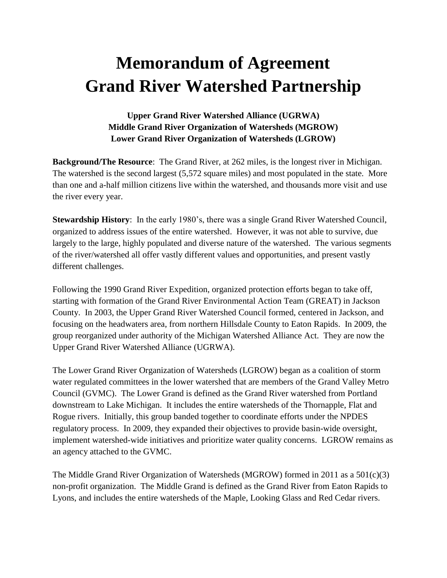## **Memorandum of Agreement Grand River Watershed Partnership**

## **Upper Grand River Watershed Alliance (UGRWA) Middle Grand River Organization of Watersheds (MGROW) Lower Grand River Organization of Watersheds (LGROW)**

**Background/The Resource**: The Grand River, at 262 miles, is the longest river in Michigan. The watershed is the second largest (5,572 square miles) and most populated in the state. More than one and a-half million citizens live within the watershed, and thousands more visit and use the river every year.

**Stewardship History**: In the early 1980's, there was a single Grand River Watershed Council, organized to address issues of the entire watershed. However, it was not able to survive, due largely to the large, highly populated and diverse nature of the watershed. The various segments of the river/watershed all offer vastly different values and opportunities, and present vastly different challenges.

Following the 1990 Grand River Expedition, organized protection efforts began to take off, starting with formation of the Grand River Environmental Action Team (GREAT) in Jackson County. In 2003, the Upper Grand River Watershed Council formed, centered in Jackson, and focusing on the headwaters area, from northern Hillsdale County to Eaton Rapids. In 2009, the group reorganized under authority of the Michigan Watershed Alliance Act. They are now the Upper Grand River Watershed Alliance (UGRWA).

The Lower Grand River Organization of Watersheds (LGROW) began as a coalition of storm water regulated committees in the lower watershed that are members of the Grand Valley Metro Council (GVMC). The Lower Grand is defined as the Grand River watershed from Portland downstream to Lake Michigan. It includes the entire watersheds of the Thornapple, Flat and Rogue rivers. Initially, this group banded together to coordinate efforts under the NPDES regulatory process. In 2009, they expanded their objectives to provide basin-wide oversight, implement watershed-wide initiatives and prioritize water quality concerns. LGROW remains as an agency attached to the GVMC.

The Middle Grand River Organization of Watersheds (MGROW) formed in 2011 as a 501(c)(3) non-profit organization. The Middle Grand is defined as the Grand River from Eaton Rapids to Lyons, and includes the entire watersheds of the Maple, Looking Glass and Red Cedar rivers.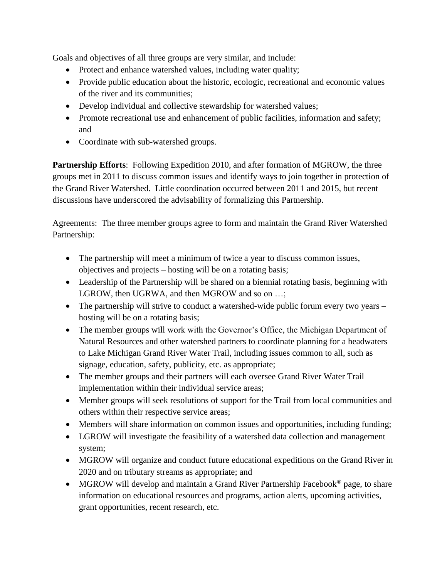Goals and objectives of all three groups are very similar, and include:

- Protect and enhance watershed values, including water quality;
- Provide public education about the historic, ecologic, recreational and economic values of the river and its communities;
- Develop individual and collective stewardship for watershed values;
- Promote recreational use and enhancement of public facilities, information and safety; and
- Coordinate with sub-watershed groups.

**Partnership Efforts**: Following Expedition 2010, and after formation of MGROW, the three groups met in 2011 to discuss common issues and identify ways to join together in protection of the Grand River Watershed. Little coordination occurred between 2011 and 2015, but recent discussions have underscored the advisability of formalizing this Partnership.

Agreements: The three member groups agree to form and maintain the Grand River Watershed Partnership:

- The partnership will meet a minimum of twice a year to discuss common issues, objectives and projects – hosting will be on a rotating basis;
- Leadership of the Partnership will be shared on a biennial rotating basis, beginning with LGROW, then UGRWA, and then MGROW and so on ...;
- The partnership will strive to conduct a watershed-wide public forum every two years hosting will be on a rotating basis;
- The member groups will work with the Governor's Office, the Michigan Department of Natural Resources and other watershed partners to coordinate planning for a headwaters to Lake Michigan Grand River Water Trail, including issues common to all, such as signage, education, safety, publicity, etc. as appropriate;
- The member groups and their partners will each oversee Grand River Water Trail implementation within their individual service areas;
- Member groups will seek resolutions of support for the Trail from local communities and others within their respective service areas;
- Members will share information on common issues and opportunities, including funding;
- LGROW will investigate the feasibility of a watershed data collection and management system;
- MGROW will organize and conduct future educational expeditions on the Grand River in 2020 and on tributary streams as appropriate; and
- MGROW will develop and maintain a Grand River Partnership Facebook<sup>®</sup> page, to share information on educational resources and programs, action alerts, upcoming activities, grant opportunities, recent research, etc.